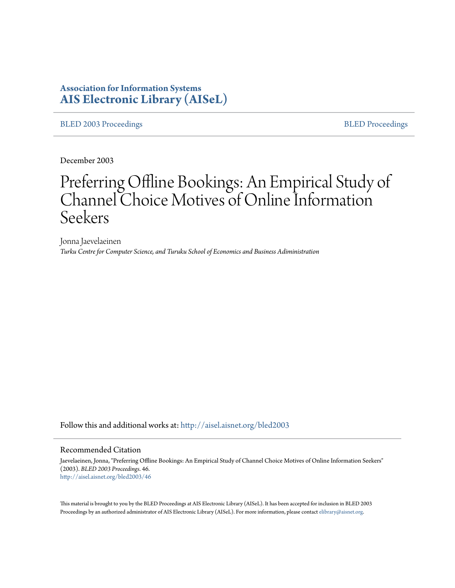# **Association for Information Systems [AIS Electronic Library \(AISeL\)](http://aisel.aisnet.org?utm_source=aisel.aisnet.org%2Fbled2003%2F46&utm_medium=PDF&utm_campaign=PDFCoverPages)**

[BLED 2003 Proceedings](http://aisel.aisnet.org/bled2003?utm_source=aisel.aisnet.org%2Fbled2003%2F46&utm_medium=PDF&utm_campaign=PDFCoverPages) and the state of the state of the [BLED Proceedings](http://aisel.aisnet.org/bled?utm_source=aisel.aisnet.org%2Fbled2003%2F46&utm_medium=PDF&utm_campaign=PDFCoverPages) and the BLED Proceedings and the BLED Proceedings and the BLED Proceedings and the BLED Proceedings and the BLED Proceedings and the BLED Proceedings

December 2003

# Preferring Offline Bookings: An Empirical Study of Channel Choice Motives of Online Information Seekers

Jonna Jaevelaeinen *Turku Centre for Computer Science, and Turuku School of Economics and Business Adiministration*

Follow this and additional works at: [http://aisel.aisnet.org/bled2003](http://aisel.aisnet.org/bled2003?utm_source=aisel.aisnet.org%2Fbled2003%2F46&utm_medium=PDF&utm_campaign=PDFCoverPages)

#### Recommended Citation

Jaevelaeinen, Jonna, "Preferring Offline Bookings: An Empirical Study of Channel Choice Motives of Online Information Seekers" (2003). *BLED 2003 Proceedings*. 46. [http://aisel.aisnet.org/bled2003/46](http://aisel.aisnet.org/bled2003/46?utm_source=aisel.aisnet.org%2Fbled2003%2F46&utm_medium=PDF&utm_campaign=PDFCoverPages)

This material is brought to you by the BLED Proceedings at AIS Electronic Library (AISeL). It has been accepted for inclusion in BLED 2003 Proceedings by an authorized administrator of AIS Electronic Library (AISeL). For more information, please contact [elibrary@aisnet.org](mailto:elibrary@aisnet.org%3E).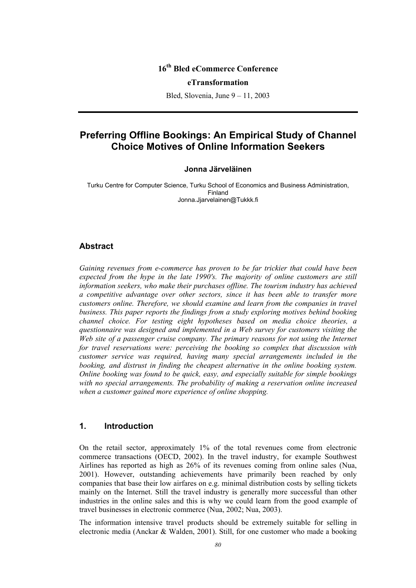# **16th Bled eCommerce Conference**

#### **eTransformation**

Bled, Slovenia, June 9 – 11, 2003

# **Preferring Offline Bookings: An Empirical Study of Channel Choice Motives of Online Information Seekers**

#### **Jonna Järveläinen**

Turku Centre for Computer Science, Turku School of Economics and Business Administration, Finland Jonna.Jjarvelainen@Tukkk.fi

#### **Abstract**

*Gaining revenues from e-commerce has proven to be far trickier that could have been expected from the hype in the late 1990's. The majority of online customers are still information seekers, who make their purchases offline. The tourism industry has achieved a competitive advantage over other sectors, since it has been able to transfer more customers online. Therefore, we should examine and learn from the companies in travel business. This paper reports the findings from a study exploring motives behind booking channel choice. For testing eight hypotheses based on media choice theories, a questionnaire was designed and implemented in a Web survey for customers visiting the Web site of a passenger cruise company. The primary reasons for not using the Internet for travel reservations were: perceiving the booking so complex that discussion with customer service was required, having many special arrangements included in the booking, and distrust in finding the cheapest alternative in the online booking system. Online booking was found to be quick, easy, and especially suitable for simple bookings with no special arrangements. The probability of making a reservation online increased when a customer gained more experience of online shopping.* 

#### **1. Introduction**

On the retail sector, approximately 1% of the total revenues come from electronic commerce transactions (OECD, 2002). In the travel industry, for example Southwest Airlines has reported as high as 26% of its revenues coming from online sales (Nua, 2001). However, outstanding achievements have primarily been reached by only companies that base their low airfares on e.g. minimal distribution costs by selling tickets mainly on the Internet. Still the travel industry is generally more successful than other industries in the online sales and this is why we could learn from the good example of travel businesses in electronic commerce (Nua, 2002; Nua, 2003).

The information intensive travel products should be extremely suitable for selling in electronic media (Anckar & Walden, 2001). Still, for one customer who made a booking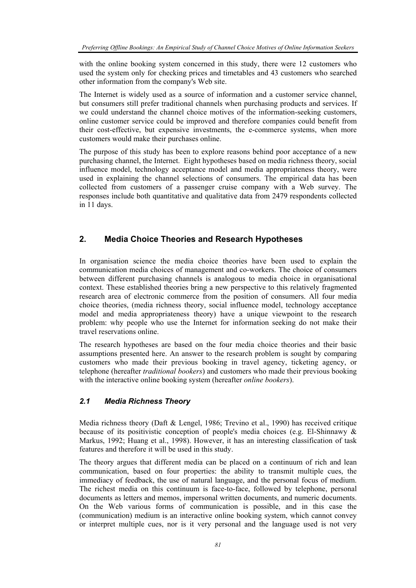with the online booking system concerned in this study, there were 12 customers who used the system only for checking prices and timetables and 43 customers who searched other information from the company's Web site.

The Internet is widely used as a source of information and a customer service channel, but consumers still prefer traditional channels when purchasing products and services. If we could understand the channel choice motives of the information-seeking customers, online customer service could be improved and therefore companies could benefit from their cost-effective, but expensive investments, the e-commerce systems, when more customers would make their purchases online.

The purpose of this study has been to explore reasons behind poor acceptance of a new purchasing channel, the Internet. Eight hypotheses based on media richness theory, social influence model, technology acceptance model and media appropriateness theory, were used in explaining the channel selections of consumers. The empirical data has been collected from customers of a passenger cruise company with a Web survey. The responses include both quantitative and qualitative data from 2479 respondents collected in 11 days.

# **2. Media Choice Theories and Research Hypotheses**

In organisation science the media choice theories have been used to explain the communication media choices of management and co-workers. The choice of consumers between different purchasing channels is analogous to media choice in organisational context. These established theories bring a new perspective to this relatively fragmented research area of electronic commerce from the position of consumers. All four media choice theories, (media richness theory, social influence model, technology acceptance model and media appropriateness theory) have a unique viewpoint to the research problem: why people who use the Internet for information seeking do not make their travel reservations online.

The research hypotheses are based on the four media choice theories and their basic assumptions presented here. An answer to the research problem is sought by comparing customers who made their previous booking in travel agency, ticketing agency, or telephone (hereafter *traditional bookers*) and customers who made their previous booking with the interactive online booking system (hereafter *online bookers*).

## *2.1 Media Richness Theory*

Media richness theory (Daft & Lengel, 1986; Trevino et al., 1990) has received critique because of its positivistic conception of people's media choices (e.g. El-Shinnawy & Markus, 1992; Huang et al., 1998). However, it has an interesting classification of task features and therefore it will be used in this study.

The theory argues that different media can be placed on a continuum of rich and lean communication, based on four properties: the ability to transmit multiple cues, the immediacy of feedback, the use of natural language, and the personal focus of medium. The richest media on this continuum is face-to-face, followed by telephone, personal documents as letters and memos, impersonal written documents, and numeric documents. On the Web various forms of communication is possible, and in this case the (communication) medium is an interactive online booking system, which cannot convey or interpret multiple cues, nor is it very personal and the language used is not very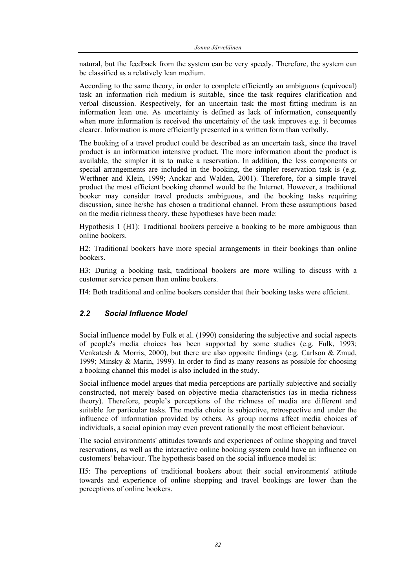natural, but the feedback from the system can be very speedy. Therefore, the system can be classified as a relatively lean medium.

According to the same theory, in order to complete efficiently an ambiguous (equivocal) task an information rich medium is suitable, since the task requires clarification and verbal discussion. Respectively, for an uncertain task the most fitting medium is an information lean one. As uncertainty is defined as lack of information, consequently when more information is received the uncertainty of the task improves e.g. it becomes clearer. Information is more efficiently presented in a written form than verbally.

The booking of a travel product could be described as an uncertain task, since the travel product is an information intensive product. The more information about the product is available, the simpler it is to make a reservation. In addition, the less components or special arrangements are included in the booking, the simpler reservation task is (e.g. Werthner and Klein, 1999; Anckar and Walden, 2001). Therefore, for a simple travel product the most efficient booking channel would be the Internet. However, a traditional booker may consider travel products ambiguous, and the booking tasks requiring discussion, since he/she has chosen a traditional channel. From these assumptions based on the media richness theory, these hypotheses have been made:

Hypothesis 1 (H1): Traditional bookers perceive a booking to be more ambiguous than online bookers.

H2: Traditional bookers have more special arrangements in their bookings than online bookers.

H3: During a booking task, traditional bookers are more willing to discuss with a customer service person than online bookers.

H4: Both traditional and online bookers consider that their booking tasks were efficient.

## *2.2 Social Influence Model*

Social influence model by Fulk et al. (1990) considering the subjective and social aspects of people's media choices has been supported by some studies (e.g. Fulk, 1993; Venkatesh & Morris, 2000), but there are also opposite findings (e.g. Carlson & Zmud, 1999; Minsky & Marin, 1999). In order to find as many reasons as possible for choosing a booking channel this model is also included in the study.

Social influence model argues that media perceptions are partially subjective and socially constructed, not merely based on objective media characteristics (as in media richness theory). Therefore, people's perceptions of the richness of media are different and suitable for particular tasks. The media choice is subjective, retrospective and under the influence of information provided by others. As group norms affect media choices of individuals, a social opinion may even prevent rationally the most efficient behaviour.

The social environments' attitudes towards and experiences of online shopping and travel reservations, as well as the interactive online booking system could have an influence on customers' behaviour. The hypothesis based on the social influence model is:

H5: The perceptions of traditional bookers about their social environments' attitude towards and experience of online shopping and travel bookings are lower than the perceptions of online bookers.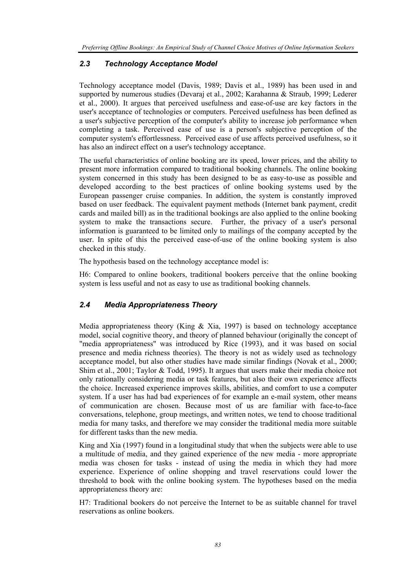## *2.3 Technology Acceptance Model*

Technology acceptance model (Davis, 1989; Davis et al., 1989) has been used in and supported by numerous studies (Devaraj et al., 2002; Karahanna & Straub, 1999; Lederer et al., 2000). It argues that perceived usefulness and ease-of-use are key factors in the user's acceptance of technologies or computers. Perceived usefulness has been defined as a user's subjective perception of the computer's ability to increase job performance when completing a task. Perceived ease of use is a person's subjective perception of the computer system's effortlessness. Perceived ease of use affects perceived usefulness, so it has also an indirect effect on a user's technology acceptance.

The useful characteristics of online booking are its speed, lower prices, and the ability to present more information compared to traditional booking channels. The online booking system concerned in this study has been designed to be as easy-to-use as possible and developed according to the best practices of online booking systems used by the European passenger cruise companies. In addition, the system is constantly improved based on user feedback. The equivalent payment methods (Internet bank payment, credit cards and mailed bill) as in the traditional bookings are also applied to the online booking system to make the transactions secure. Further, the privacy of a user's personal information is guaranteed to be limited only to mailings of the company accepted by the user. In spite of this the perceived ease-of-use of the online booking system is also checked in this study.

The hypothesis based on the technology acceptance model is:

H6: Compared to online bookers, traditional bookers perceive that the online booking system is less useful and not as easy to use as traditional booking channels.

## *2.4 Media Appropriateness Theory*

Media appropriateness theory (King  $\&$  Xia, 1997) is based on technology acceptance model, social cognitive theory, and theory of planned behaviour (originally the concept of "media appropriateness" was introduced by Rice (1993), and it was based on social presence and media richness theories). The theory is not as widely used as technology acceptance model, but also other studies have made similar findings (Novak et al., 2000; Shim et al., 2001; Taylor & Todd, 1995). It argues that users make their media choice not only rationally considering media or task features, but also their own experience affects the choice. Increased experience improves skills, abilities, and comfort to use a computer system. If a user has had bad experiences of for example an e-mail system, other means of communication are chosen. Because most of us are familiar with face-to-face conversations, telephone, group meetings, and written notes, we tend to choose traditional media for many tasks, and therefore we may consider the traditional media more suitable for different tasks than the new media.

King and Xia (1997) found in a longitudinal study that when the subjects were able to use a multitude of media, and they gained experience of the new media - more appropriate media was chosen for tasks - instead of using the media in which they had more experience. Experience of online shopping and travel reservations could lower the threshold to book with the online booking system. The hypotheses based on the media appropriateness theory are:

H7: Traditional bookers do not perceive the Internet to be as suitable channel for travel reservations as online bookers.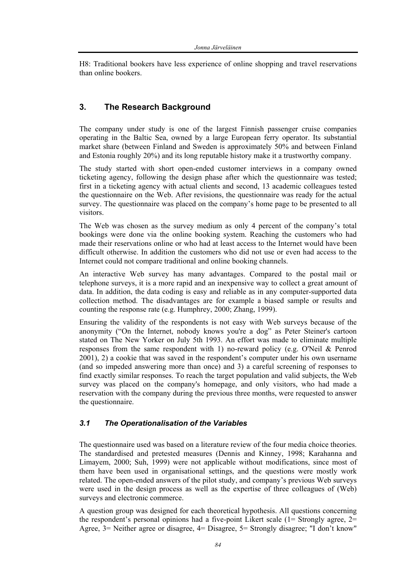H8: Traditional bookers have less experience of online shopping and travel reservations than online bookers.

# **3. The Research Background**

The company under study is one of the largest Finnish passenger cruise companies operating in the Baltic Sea, owned by a large European ferry operator. Its substantial market share (between Finland and Sweden is approximately 50% and between Finland and Estonia roughly 20%) and its long reputable history make it a trustworthy company.

The study started with short open-ended customer interviews in a company owned ticketing agency, following the design phase after which the questionnaire was tested; first in a ticketing agency with actual clients and second, 13 academic colleagues tested the questionnaire on the Web. After revisions, the questionnaire was ready for the actual survey. The questionnaire was placed on the company's home page to be presented to all visitors.

The Web was chosen as the survey medium as only 4 percent of the company's total bookings were done via the online booking system. Reaching the customers who had made their reservations online or who had at least access to the Internet would have been difficult otherwise. In addition the customers who did not use or even had access to the Internet could not compare traditional and online booking channels.

An interactive Web survey has many advantages. Compared to the postal mail or telephone surveys, it is a more rapid and an inexpensive way to collect a great amount of data. In addition, the data coding is easy and reliable as in any computer-supported data collection method. The disadvantages are for example a biased sample or results and counting the response rate (e.g. Humphrey, 2000; Zhang, 1999).

Ensuring the validity of the respondents is not easy with Web surveys because of the anonymity ("On the Internet, nobody knows you're a dog" as Peter Steiner's cartoon stated on The New Yorker on July 5th 1993. An effort was made to eliminate multiple responses from the same respondent with 1) no-reward policy (e.g. O'Neil & Penrod 2001), 2) a cookie that was saved in the respondent's computer under his own username (and so impeded answering more than once) and 3) a careful screening of responses to find exactly similar responses. To reach the target population and valid subjects, the Web survey was placed on the company's homepage, and only visitors, who had made a reservation with the company during the previous three months, were requested to answer the questionnaire.

## *3.1 The Operationalisation of the Variables*

The questionnaire used was based on a literature review of the four media choice theories. The standardised and pretested measures (Dennis and Kinney, 1998; Karahanna and Limayem, 2000; Suh, 1999) were not applicable without modifications, since most of them have been used in organisational settings, and the questions were mostly work related. The open-ended answers of the pilot study, and company's previous Web surveys were used in the design process as well as the expertise of three colleagues of (Web) surveys and electronic commerce.

A question group was designed for each theoretical hypothesis. All questions concerning the respondent's personal opinions had a five-point Likert scale  $(1=$  Strongly agree,  $2=$ Agree, 3= Neither agree or disagree, 4= Disagree, 5= Strongly disagree; "I don't know"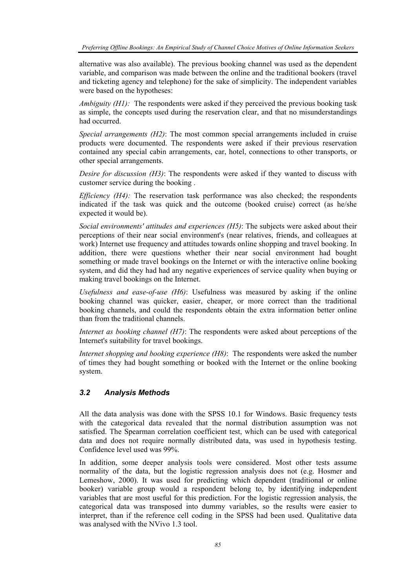alternative was also available). The previous booking channel was used as the dependent variable, and comparison was made between the online and the traditional bookers (travel and ticketing agency and telephone) for the sake of simplicity. The independent variables were based on the hypotheses:

*Ambiguity (H1):* The respondents were asked if they perceived the previous booking task as simple, the concepts used during the reservation clear, and that no misunderstandings had occurred.

*Special arrangements (H2)*: The most common special arrangements included in cruise products were documented. The respondents were asked if their previous reservation contained any special cabin arrangements, car, hotel, connections to other transports, or other special arrangements.

*Desire for discussion (H3)*: The respondents were asked if they wanted to discuss with customer service during the booking .

*Efficiency (H4)*: The reservation task performance was also checked; the respondents indicated if the task was quick and the outcome (booked cruise) correct (as he/she expected it would be).

*Social environments' attitudes and experiences (H5)*: The subjects were asked about their perceptions of their near social environment's (near relatives, friends, and colleagues at work) Internet use frequency and attitudes towards online shopping and travel booking. In addition, there were questions whether their near social environment had bought something or made travel bookings on the Internet or with the interactive online booking system, and did they had had any negative experiences of service quality when buying or making travel bookings on the Internet.

*Usefulness and ease-of-use (H6)*: Usefulness was measured by asking if the online booking channel was quicker, easier, cheaper, or more correct than the traditional booking channels, and could the respondents obtain the extra information better online than from the traditional channels.

*Internet as booking channel (H7)*: The respondents were asked about perceptions of the Internet's suitability for travel bookings.

*Internet shopping and booking experience (H8)*: The respondents were asked the number of times they had bought something or booked with the Internet or the online booking system.

#### *3.2 Analysis Methods*

All the data analysis was done with the SPSS 10.1 for Windows. Basic frequency tests with the categorical data revealed that the normal distribution assumption was not satisfied. The Spearman correlation coefficient test, which can be used with categorical data and does not require normally distributed data, was used in hypothesis testing. Confidence level used was 99%.

In addition, some deeper analysis tools were considered. Most other tests assume normality of the data, but the logistic regression analysis does not (e.g. Hosmer and Lemeshow, 2000). It was used for predicting which dependent (traditional or online booker) variable group would a respondent belong to, by identifying independent variables that are most useful for this prediction. For the logistic regression analysis, the categorical data was transposed into dummy variables, so the results were easier to interpret, than if the reference cell coding in the SPSS had been used. Qualitative data was analysed with the NVivo 1.3 tool.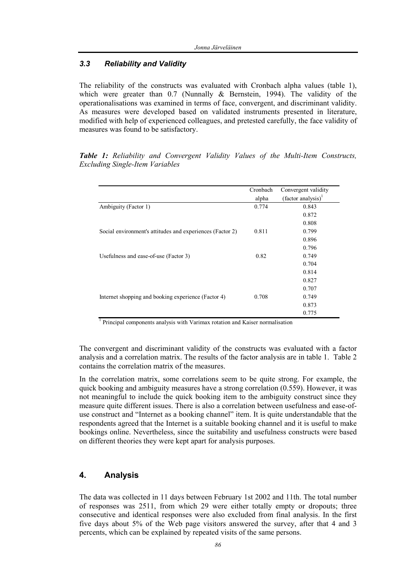## *3.3 Reliability and Validity*

The reliability of the constructs was evaluated with Cronbach alpha values (table 1), which were greater than  $0.7$  (Nunnally  $\&$  Bernstein, 1994). The validity of the operationalisations was examined in terms of face, convergent, and discriminant validity. As measures were developed based on validated instruments presented in literature, modified with help of experienced colleagues, and pretested carefully, the face validity of measures was found to be satisfactory.

*Table 1: Reliability and Convergent Validity Values of the Multi-Item Constructs, Excluding Single-Item Variables* 

|                                                           | Cronbach | Convergent validity           |
|-----------------------------------------------------------|----------|-------------------------------|
|                                                           | alpha    | $(factor \text{ analysis})^1$ |
| Ambiguity (Factor 1)                                      | 0.774    | 0.843                         |
|                                                           |          | 0.872                         |
|                                                           |          | 0.808                         |
| Social environment's attitudes and experiences (Factor 2) | 0.811    | 0.799                         |
|                                                           |          | 0.896                         |
|                                                           |          | 0.796                         |
| Usefulness and ease-of-use (Factor 3)                     | 0.82     | 0.749                         |
|                                                           |          | 0.704                         |
|                                                           |          | 0.814                         |
|                                                           |          | 0.827                         |
|                                                           |          | 0.707                         |
| Internet shopping and booking experience (Factor 4)       | 0.708    | 0.749                         |
|                                                           |          | 0.873                         |
|                                                           |          | 0.775                         |

<sup>1</sup> Principal components analysis with Varimax rotation and Kaiser normalisation

The convergent and discriminant validity of the constructs was evaluated with a factor analysis and a correlation matrix. The results of the factor analysis are in table 1. Table 2 contains the correlation matrix of the measures.

In the correlation matrix, some correlations seem to be quite strong. For example, the quick booking and ambiguity measures have a strong correlation (0.559). However, it was not meaningful to include the quick booking item to the ambiguity construct since they measure quite different issues. There is also a correlation between usefulness and ease-ofuse construct and "Internet as a booking channel" item. It is quite understandable that the respondents agreed that the Internet is a suitable booking channel and it is useful to make bookings online. Nevertheless, since the suitability and usefulness constructs were based on different theories they were kept apart for analysis purposes.

## **4. Analysis**

The data was collected in 11 days between February 1st 2002 and 11th. The total number of responses was 2511, from which 29 were either totally empty or dropouts; three consecutive and identical responses were also excluded from final analysis. In the first five days about 5% of the Web page visitors answered the survey, after that 4 and 3 percents, which can be explained by repeated visits of the same persons.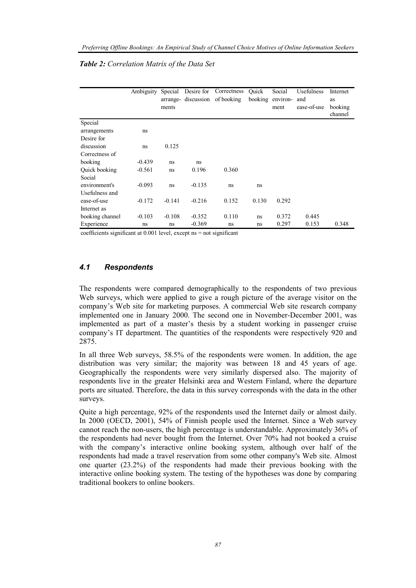|                 | Ambiguity | Special  | Desire for | Correctness           | Quick   | Social   | Usefulness  | Internet |
|-----------------|-----------|----------|------------|-----------------------|---------|----------|-------------|----------|
|                 |           | arrange- |            | discussion of booking | booking | environ- | and         | as       |
|                 |           | ments    |            |                       |         | ment     | ease-of-use | booking  |
|                 |           |          |            |                       |         |          |             | channel  |
| Special         |           |          |            |                       |         |          |             |          |
| arrangements    | ns        |          |            |                       |         |          |             |          |
| Desire for      |           |          |            |                       |         |          |             |          |
| discussion      | ns        | 0.125    |            |                       |         |          |             |          |
| Correctness of  |           |          |            |                       |         |          |             |          |
| booking         | $-0.439$  | ns       | ns         |                       |         |          |             |          |
| Quick booking   | $-0.561$  | ns       | 0.196      | 0.360                 |         |          |             |          |
| Social          |           |          |            |                       |         |          |             |          |
| environment's   | $-0.093$  | ns       | $-0.135$   | ns                    | ns      |          |             |          |
| Usefulness and  |           |          |            |                       |         |          |             |          |
| ease-of-use     | $-0.172$  | $-0.141$ | $-0.216$   | 0.152                 | 0.130   | 0.292    |             |          |
| Internet as     |           |          |            |                       |         |          |             |          |
| booking channel | $-0.103$  | $-0.108$ | $-0.352$   | 0.110                 | ns      | 0.372    | 0.445       |          |
| Experience      | ns        | ns       | $-0.369$   | ns                    | ns      | 0.297    | 0.153       | 0.348    |

#### *Table 2: Correlation Matrix of the Data Set*

coefficients significant at 0.001 level, except ns = not significant

#### *4.1 Respondents*

The respondents were compared demographically to the respondents of two previous Web surveys, which were applied to give a rough picture of the average visitor on the company's Web site for marketing purposes. A commercial Web site research company implemented one in January 2000. The second one in November-December 2001, was implemented as part of a master's thesis by a student working in passenger cruise company's IT department. The quantities of the respondents were respectively 920 and 2875.

In all three Web surveys, 58.5% of the respondents were women. In addition, the age distribution was very similar; the majority was between 18 and 45 years of age. Geographically the respondents were very similarly dispersed also. The majority of respondents live in the greater Helsinki area and Western Finland, where the departure ports are situated. Therefore, the data in this survey corresponds with the data in the other surveys.

Quite a high percentage, 92% of the respondents used the Internet daily or almost daily. In 2000 (OECD, 2001), 54% of Finnish people used the Internet. Since a Web survey cannot reach the non-users, the high percentage is understandable. Approximately 36% of the respondents had never bought from the Internet. Over 70% had not booked a cruise with the company's interactive online booking system, although over half of the respondents had made a travel reservation from some other company's Web site. Almost one quarter (23.2%) of the respondents had made their previous booking with the interactive online booking system. The testing of the hypotheses was done by comparing traditional bookers to online bookers.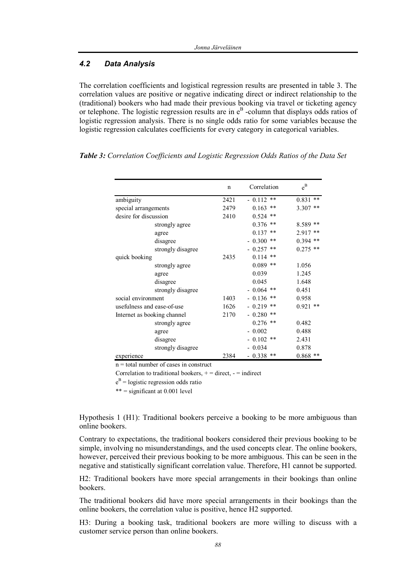#### *4.2 Data Analysis*

The correlation coefficients and logistical regression results are presented in table 3. The correlation values are positive or negative indicating direct or indirect relationship to the (traditional) bookers who had made their previous booking via travel or ticketing agency or telephone. The logistic regression results are in  $e^B$  -column that displays odds ratios of logistic regression analysis. There is no single odds ratio for some variables because the logistic regression calculates coefficients for every category in categorical variables.

| Table 3: Correlation Coefficients and Logistic Regression Odds Ratios of the Data Set |
|---------------------------------------------------------------------------------------|
|---------------------------------------------------------------------------------------|

|                             | n    | Correlation       | $e^{B}$        |
|-----------------------------|------|-------------------|----------------|
| ambiguity                   | 2421 | $* *$<br>$-0.112$ | **<br>0.831    |
| special arrangements        | 2479 | $* *$<br>0.163    | **<br>3.307    |
| desire for discussion       | 2410 | 0.524<br>$* *$    |                |
| strongly agree              |      | 0.376<br>**       | $8.589**$      |
| agree                       |      | 0.137<br>$* *$    | **<br>2.917    |
| disagree                    |      | $-0.300$<br>$* *$ | $* *$<br>0.394 |
| strongly disagree           |      | 0.257<br>**       | $**$<br>0.275  |
| quick booking               | 2435 | 0.114<br>$* *$    |                |
| strongly agree              |      | 0.089<br>$* *$    | 1.056          |
| agree                       |      | 0.039             | 1.245          |
| disagree                    |      | 0.045             | 1.648          |
| strongly disagree           |      | $-0.064$<br>$* *$ | 0.451          |
| social environment          | 1403 | $-0.136$<br>$* *$ | 0.958          |
| usefulness and ease-of-use  | 1626 | 0.219<br>$* *$    | $**$<br>0.921  |
| Internet as booking channel | 2170 | 0.280<br>$* *$    |                |
| strongly agree              |      | 0.276<br>$* *$    | 0.482          |
| agree                       |      | 0.002             | 0.488          |
| disagree                    |      | 0.102<br>**       | 2.431          |
| strongly disagree           |      | 0.034             | 0.878          |
| experience                  | 2384 | 0.338<br>$* *$    | 0.868<br>**    |

n = total number of cases in construct

Correlation to traditional bookers,  $+$  = direct,  $-$  = indirect

 $e^{B}$  = logistic regression odds ratio

 $*** =$  significant at 0.001 level

Hypothesis 1 (H1): Traditional bookers perceive a booking to be more ambiguous than online bookers.

Contrary to expectations, the traditional bookers considered their previous booking to be simple, involving no misunderstandings, and the used concepts clear. The online bookers, however, perceived their previous booking to be more ambiguous. This can be seen in the negative and statistically significant correlation value. Therefore, H1 cannot be supported.

H2: Traditional bookers have more special arrangements in their bookings than online bookers.

The traditional bookers did have more special arrangements in their bookings than the online bookers, the correlation value is positive, hence H2 supported.

H3: During a booking task, traditional bookers are more willing to discuss with a customer service person than online bookers.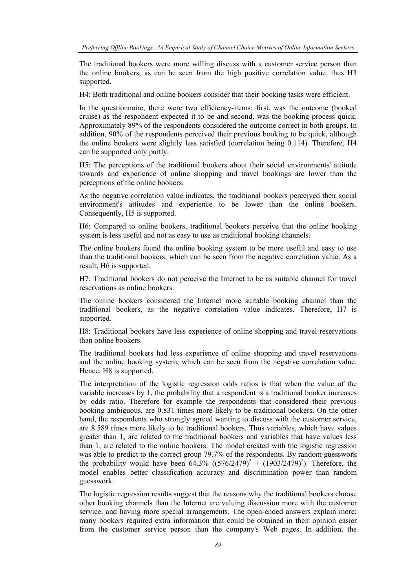The traditional bookers were more willing discuss with a customer service person than the online bookers, as can be seen from the high positive correlation value, thus H3 supported.

H4: Both traditional and online bookers consider that their booking tasks were efficient.

In the questionnaire, there were two efficiency-items: first, was the outcome (booked cruise) as the respondent expected it to be and second, was the booking process quick. Approximately 89% of the respondents considered the outcome correct in both groups. In addition, 90% of the respondents perceived their previous booking to be quick, although the online bookers were slightly less satisfied (correlation being 0.114). Therefore, H4 can be supported only partly.

H5: The perceptions of the traditional bookers about their social environments' attitude towards and experience of online shopping and travel bookings are lower than the perceptions of the online bookers.

As the negative correlation value indicates, the traditional bookers perceived their social environment's attitudes and experience to be lower than the online bookers. Consequently, H5 is supported.

H6: Compared to online bookers, traditional bookers perceive that the online booking system is less useful and not as easy to use as traditional booking channels.

The online bookers found the online booking system to be more useful and easy to use than the traditional bookers, which can be seen from the negative correlation value. As a result, H6 is supported.

H7: Traditional bookers do not perceive the Internet to be as suitable channel for travel reservations as online bookers.

The online bookers considered the Internet more suitable booking channel than the traditional bookers, as the negative correlation value indicates. Therefore, H7 is supported.

H8: Traditional bookers have less experience of online shopping and travel reservations than online bookers.

The traditional bookers had less experience of online shopping and travel reservations and the online booking system, which can be seen from the negative correlation value. Hence, H8 is supported.

The interpretation of the logistic regression odds ratios is that when the value of the variable increases by 1, the probability that a respondent is a traditional booker increases by odds ratio. Therefore for example the respondents that considered their previous booking ambiguous, are 0.831 times more likely to be traditional bookers. On the other hand, the respondents who strongly agreed wanting to discuss with the customer service, are 8.589 times more likely to be traditional bookers. Thus variables, which have values greater than 1, are related to the traditional bookers and variables that have values less than 1, are related to the online bookers. The model created with the logistic regression was able to predict to the correct group 79.7% of the respondents. By random guesswork the probability would have been  $64.3\%$   $((576/2479)^{2} + (1903/2479)^{2})$ . Therefore, the model enables better classification accuracy and discrimination power than random guesswork.

The logistic regression results suggest that the reasons why the traditional bookers choose other booking channels than the Internet are valuing discussion more with the customer service, and having more special arrangements. The open-ended answers explain more; many bookers required extra information that could be obtained in their opinion easier from the customer service person than the company's Web pages. In addition, the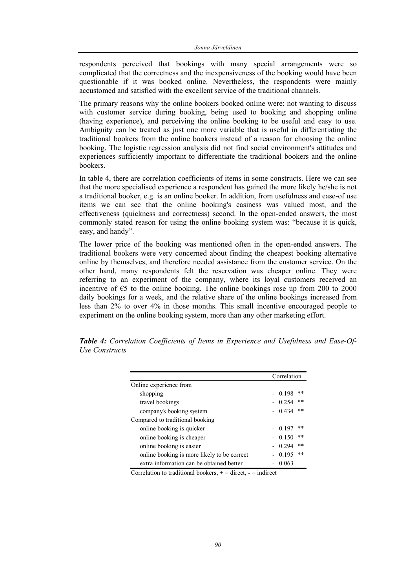respondents perceived that bookings with many special arrangements were so complicated that the correctness and the inexpensiveness of the booking would have been questionable if it was booked online. Nevertheless, the respondents were mainly accustomed and satisfied with the excellent service of the traditional channels.

The primary reasons why the online bookers booked online were: not wanting to discuss with customer service during booking, being used to booking and shopping online (having experience), and perceiving the online booking to be useful and easy to use. Ambiguity can be treated as just one more variable that is useful in differentiating the traditional bookers from the online bookers instead of a reason for choosing the online booking. The logistic regression analysis did not find social environment's attitudes and experiences sufficiently important to differentiate the traditional bookers and the online bookers.

In table 4, there are correlation coefficients of items in some constructs. Here we can see that the more specialised experience a respondent has gained the more likely he/she is not a traditional booker, e.g. is an online booker. In addition, from usefulness and ease-of use items we can see that the online booking's easiness was valued most, and the effectiveness (quickness and correctness) second. In the open-ended answers, the most commonly stated reason for using the online booking system was: "because it is quick, easy, and handy".

The lower price of the booking was mentioned often in the open-ended answers. The traditional bookers were very concerned about finding the cheapest booking alternative online by themselves, and therefore needed assistance from the customer service. On the other hand, many respondents felt the reservation was cheaper online. They were referring to an experiment of the company, where its loyal customers received an incentive of  $\epsilon$ 5 to the online booking. The online bookings rose up from 200 to 2000 daily bookings for a week, and the relative share of the online bookings increased from less than 2% to over 4% in those months. This small incentive encouraged people to experiment on the online booking system, more than any other marketing effort.

|                                             |  | Correlation |       |
|---------------------------------------------|--|-------------|-------|
| Online experience from                      |  |             |       |
| shopping                                    |  | 0.198       | $* *$ |
| travel bookings                             |  | 0.254       | $* *$ |
| company's booking system                    |  | 0.434       | $**$  |
| Compared to traditional booking             |  |             |       |
| online booking is quicker                   |  | $-0.197$    | **    |
| online booking is cheaper                   |  | 0.150       | **    |
| online booking is easier                    |  | 0.294       | $* *$ |
| online booking is more likely to be correct |  | 0.195       | $* *$ |
| extra information can be obtained better    |  | 0.063       |       |

*Table 4: Correlation Coefficients of Items in Experience and Usefulness and Ease-Of-Use Constructs* 

Correlation to traditional bookers,  $+$  = direct,  $-$  = indirect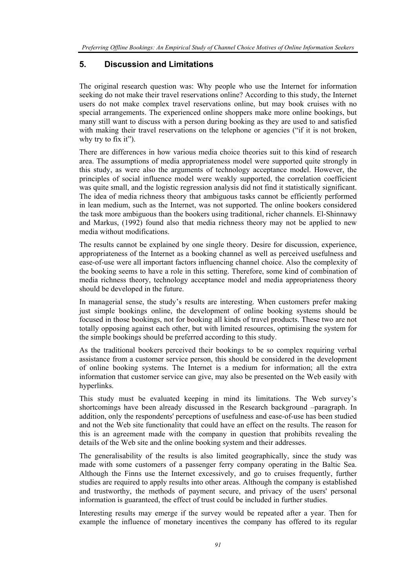*Preferring Offline Bookings: An Empirical Study of Channel Choice Motives of Online Information Seekers* 

# **5. Discussion and Limitations**

The original research question was: Why people who use the Internet for information seeking do not make their travel reservations online? According to this study, the Internet users do not make complex travel reservations online, but may book cruises with no special arrangements. The experienced online shoppers make more online bookings, but many still want to discuss with a person during booking as they are used to and satisfied with making their travel reservations on the telephone or agencies ("if it is not broken, why try to fix it").

There are differences in how various media choice theories suit to this kind of research area. The assumptions of media appropriateness model were supported quite strongly in this study, as were also the arguments of technology acceptance model. However, the principles of social influence model were weakly supported, the correlation coefficient was quite small, and the logistic regression analysis did not find it statistically significant. The idea of media richness theory that ambiguous tasks cannot be efficiently performed in lean medium, such as the Internet, was not supported. The online bookers considered the task more ambiguous than the bookers using traditional, richer channels. El-Shinnawy and Markus, (1992) found also that media richness theory may not be applied to new media without modifications.

The results cannot be explained by one single theory. Desire for discussion, experience, appropriateness of the Internet as a booking channel as well as perceived usefulness and ease-of-use were all important factors influencing channel choice. Also the complexity of the booking seems to have a role in this setting. Therefore, some kind of combination of media richness theory, technology acceptance model and media appropriateness theory should be developed in the future.

In managerial sense, the study's results are interesting. When customers prefer making just simple bookings online, the development of online booking systems should be focused in those bookings, not for booking all kinds of travel products. These two are not totally opposing against each other, but with limited resources, optimising the system for the simple bookings should be preferred according to this study.

As the traditional bookers perceived their bookings to be so complex requiring verbal assistance from a customer service person, this should be considered in the development of online booking systems. The Internet is a medium for information; all the extra information that customer service can give, may also be presented on the Web easily with hyperlinks.

This study must be evaluated keeping in mind its limitations. The Web survey's shortcomings have been already discussed in the Research background –paragraph. In addition, only the respondents' perceptions of usefulness and ease-of-use has been studied and not the Web site functionality that could have an effect on the results. The reason for this is an agreement made with the company in question that prohibits revealing the details of the Web site and the online booking system and their addresses.

The generalisability of the results is also limited geographically, since the study was made with some customers of a passenger ferry company operating in the Baltic Sea. Although the Finns use the Internet excessively, and go to cruises frequently, further studies are required to apply results into other areas. Although the company is established and trustworthy, the methods of payment secure, and privacy of the users' personal information is guaranteed, the effect of trust could be included in further studies.

Interesting results may emerge if the survey would be repeated after a year. Then for example the influence of monetary incentives the company has offered to its regular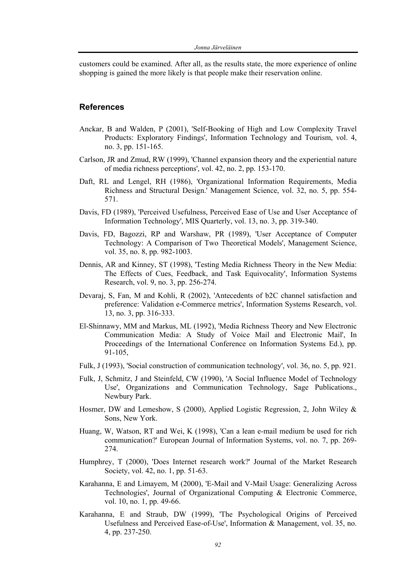customers could be examined. After all, as the results state, the more experience of online shopping is gained the more likely is that people make their reservation online.

#### **References**

- Anckar, B and Walden, P (2001), 'Self-Booking of High and Low Complexity Travel Products: Exploratory Findings', Information Technology and Tourism, vol. 4, no. 3, pp. 151-165.
- Carlson, JR and Zmud, RW (1999), 'Channel expansion theory and the experiential nature of media richness perceptions', vol. 42, no. 2, pp. 153-170.
- Daft, RL and Lengel, RH (1986), 'Organizational Information Requirements, Media Richness and Structural Design.' Management Science, vol. 32, no. 5, pp. 554- 571.
- Davis, FD (1989), 'Perceived Usefulness, Perceived Ease of Use and User Acceptance of Information Technology', MIS Quarterly, vol. 13, no. 3, pp. 319-340.
- Davis, FD, Bagozzi, RP and Warshaw, PR (1989), 'User Acceptance of Computer Technology: A Comparison of Two Theoretical Models', Management Science, vol. 35, no. 8, pp. 982-1003.
- Dennis, AR and Kinney, ST (1998), 'Testing Media Richness Theory in the New Media: The Effects of Cues, Feedback, and Task Equivocality', Information Systems Research, vol. 9, no. 3, pp. 256-274.
- Devaraj, S, Fan, M and Kohli, R (2002), 'Antecedents of b2C channel satisfaction and preference: Validation e-Commerce metrics', Information Systems Research, vol. 13, no. 3, pp. 316-333.
- El-Shinnawy, MM and Markus, ML (1992), 'Media Richness Theory and New Electronic Communication Media: A Study of Voice Mail and Electronic Mail', In Proceedings of the International Conference on Information Systems Ed.), pp. 91-105,
- Fulk, J (1993), 'Social construction of communication technology', vol. 36, no. 5, pp. 921.
- Fulk, J, Schmitz, J and Steinfeld, CW (1990), 'A Social Influence Model of Technology Use', Organizations and Communication Technology, Sage Publications., Newbury Park.
- Hosmer, DW and Lemeshow, S (2000), Applied Logistic Regression, 2, John Wiley & Sons, New York.
- Huang, W, Watson, RT and Wei, K (1998), 'Can a lean e-mail medium be used for rich communication?' European Journal of Information Systems, vol. no. 7, pp. 269- 274.
- Humphrey, T (2000), 'Does Internet research work?' Journal of the Market Research Society, vol. 42, no. 1, pp. 51-63.
- Karahanna, E and Limayem, M (2000), 'E-Mail and V-Mail Usage: Generalizing Across Technologies', Journal of Organizational Computing & Electronic Commerce, vol. 10, no. 1, pp. 49-66.
- Karahanna, E and Straub, DW (1999), 'The Psychological Origins of Perceived Usefulness and Perceived Ease-of-Use', Information & Management, vol. 35, no. 4, pp. 237-250.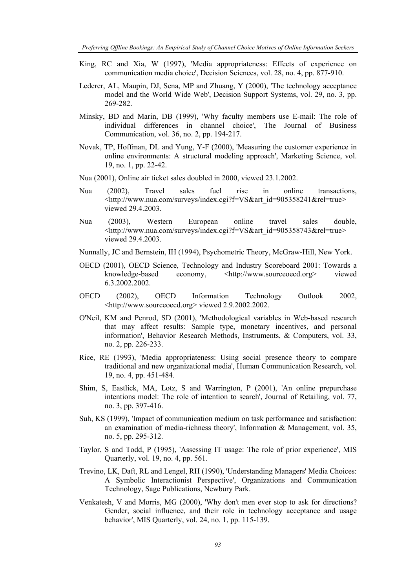- King, RC and Xia, W (1997), 'Media appropriateness: Effects of experience on communication media choice', Decision Sciences, vol. 28, no. 4, pp. 877-910.
- Lederer, AL, Maupin, DJ, Sena, MP and Zhuang, Y (2000), 'The technology acceptance model and the World Wide Web', Decision Support Systems, vol. 29, no. 3, pp. 269-282.
- Minsky, BD and Marin, DB (1999), 'Why faculty members use E-mail: The role of individual differences in channel choice', The Journal of Business Communication, vol. 36, no. 2, pp. 194-217.
- Novak, TP, Hoffman, DL and Yung, Y-F (2000), 'Measuring the customer experience in online environments: A structural modeling approach', Marketing Science, vol. 19, no. 1, pp. 22-42.
- Nua (2001), Online air ticket sales doubled in 2000, viewed 23.1.2002.
- Nua (2002), Travel sales fuel rise in online transactions, <http://www.nua.com/surveys/index.cgi?f=VS&art\_id=905358241&rel=true> viewed 29.4.2003.
- Nua (2003), Western European online travel sales double, <http://www.nua.com/surveys/index.cgi?f=VS&art\_id=905358743&rel=true> viewed 29.4.2003.
- Nunnally, JC and Bernstein, IH (1994), Psychometric Theory, McGraw-Hill, New York.
- OECD (2001), OECD Science, Technology and Industry Scoreboard 2001: Towards a knowledge-based economy, <http://www.sourceoecd.org> viewed 6.3.2002.2002.
- OECD (2002), OECD Information Technology Outlook 2002, <http://www.sourceoecd.org> viewed 2.9.2002.2002.
- O'Neil, KM and Penrod, SD (2001), 'Methodological variables in Web-based research that may affect results: Sample type, monetary incentives, and personal information', Behavior Research Methods, Instruments, & Computers, vol. 33, no. 2, pp. 226-233.
- Rice, RE (1993), 'Media appropriateness: Using social presence theory to compare traditional and new organizational media', Human Communication Research, vol. 19, no. 4, pp. 451-484.
- Shim, S, Eastlick, MA, Lotz, S and Warrington, P (2001), 'An online prepurchase intentions model: The role of intention to search', Journal of Retailing, vol. 77, no. 3, pp. 397-416.
- Suh, KS (1999), 'Impact of communication medium on task performance and satisfaction: an examination of media-richness theory', Information & Management, vol. 35, no. 5, pp. 295-312.
- Taylor, S and Todd, P (1995), 'Assessing IT usage: The role of prior experience', MIS Quarterly, vol. 19, no. 4, pp. 561.
- Trevino, LK, Daft, RL and Lengel, RH (1990), 'Understanding Managers' Media Choices: A Symbolic Interactionist Perspective', Organizations and Communication Technology, Sage Publications, Newbury Park.
- Venkatesh, V and Morris, MG (2000), 'Why don't men ever stop to ask for directions? Gender, social influence, and their role in technology acceptance and usage behavior', MIS Quarterly, vol. 24, no. 1, pp. 115-139.